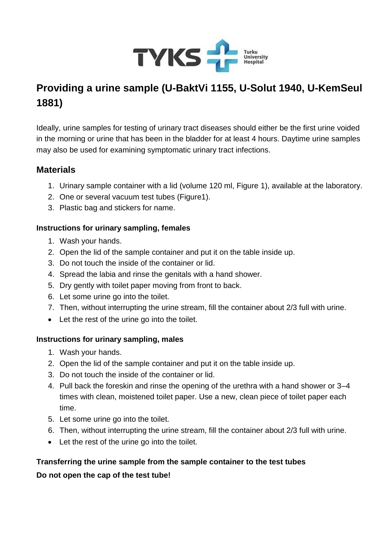

# **Providing a urine sample (U-BaktVi 1155, U-Solut 1940, U-KemSeul 1881)**

Ideally, urine samples for testing of urinary tract diseases should either be the first urine voided in the morning or urine that has been in the bladder for at least 4 hours. Daytime urine samples may also be used for examining symptomatic urinary tract infections.

## **Materials**

- 1. Urinary sample container with a lid (volume 120 ml, Figure 1), available at the laboratory.
- 2. One or several vacuum test tubes (Figure1).
- 3. Plastic bag and stickers for name.

#### **Instructions for urinary sampling, females**

- 1. Wash your hands.
- 2. Open the lid of the sample container and put it on the table inside up.
- 3. Do not touch the inside of the container or lid.
- 4. Spread the labia and rinse the genitals with a hand shower.
- 5. Dry gently with toilet paper moving from front to back.
- 6. Let some urine go into the toilet.
- 7. Then, without interrupting the urine stream, fill the container about 2/3 full with urine.
- Let the rest of the urine go into the toilet.

### **Instructions for urinary sampling, males**

- 1. Wash your hands.
- 2. Open the lid of the sample container and put it on the table inside up.
- 3. Do not touch the inside of the container or lid.
- 4. Pull back the foreskin and rinse the opening of the urethra with a hand shower or 3–4 times with clean, moistened toilet paper. Use a new, clean piece of toilet paper each time.
- 5. Let some urine go into the toilet.
- 6. Then, without interrupting the urine stream, fill the container about 2/3 full with urine.
- Let the rest of the urine go into the toilet.

## **Transferring the urine sample from the sample container to the test tubes Do not open the cap of the test tube!**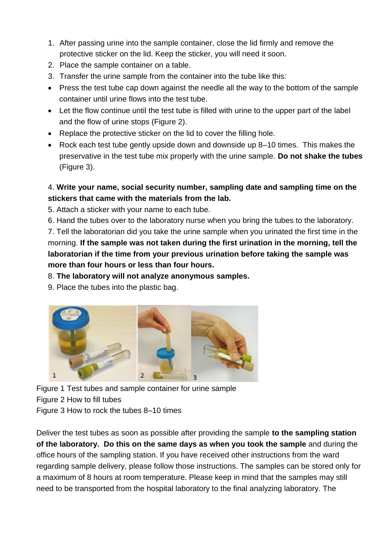- 1. After passing urine into the sample container, close the lid firmly and remove the protective sticker on the lid. Keep the sticker, you will need it soon.
- 2. Place the sample container on a table.
- 3. Transfer the urine sample from the container into the tube like this:
- Press the test tube cap down against the needle all the way to the bottom of the sample container until urine flows into the test tube.
- Let the flow continue until the test tube is filled with urine to the upper part of the label and the flow of urine stops (Figure 2).
- Replace the protective sticker on the lid to cover the filling hole.
- Rock each test tube gently upside down and downside up 8–10 times. This makes the preservative in the test tube mix properly with the urine sample. **Do not shake the tubes** (Figure 3).

## 4. **Write your name, social security number, sampling date and sampling time on the stickers that came with the materials from the lab.**

- 5. Attach a sticker with your name to each tube.
- 6. Hand the tubes over to the laboratory nurse when you bring the tubes to the laboratory.

7. Tell the laboratorian did you take the urine sample when you urinated the first time in the morning. **If the sample was not taken during the first urination in the morning, tell the laboratorian if the time from your previous urination before taking the sample was more than four hours or less than four hours.**

8. **The laboratory will not analyze anonymous samples.**

9. Place the tubes into the plastic bag.



Figure 1 Test tubes and sample container for urine sample Figure 2 How to fill tubes Figure 3 How to rock the tubes 8–10 times

Deliver the test tubes as soon as possible after providing the sample **to the sampling station of the laboratory. Do this on the same days as when you took the sample** and during the office hours of the sampling station. If you have received other instructions from the ward regarding sample delivery, please follow those instructions. The samples can be stored only for a maximum of 8 hours at room temperature. Please keep in mind that the samples may still need to be transported from the hospital laboratory to the final analyzing laboratory. The